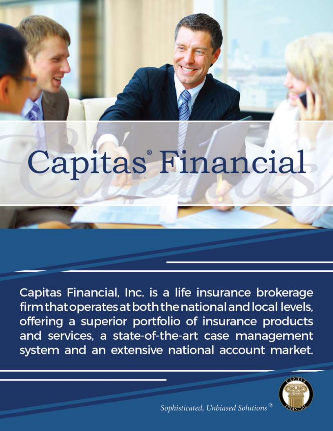# Capitas<sup>®</sup> Financial

Capitas Financial, Inc. is a life insurance brokerage firm that operates at both the national and local levels, offering a superior portfolio of insurance products and services, a state-of-the-art case management system and an extensive national account market.



Sophisticated, Unbiased Solutions  $^{\tiny \text{\textregistered}}$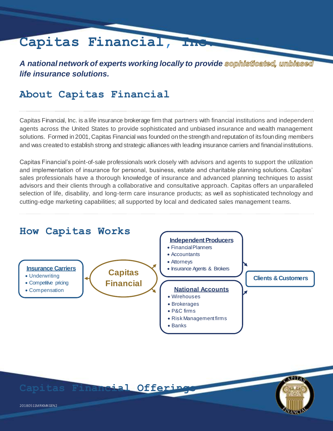# **Capitas Financial, Inc.**

A national network of experts working locally to provide sophisticated, umbiased *life insurance solutions.*

## **About Capitas Financial**

Capitas Financial, Inc. is a life insurance brokerage firm that partners with financial institutions and independent agents across the United States to provide sophisticated and unbiased insurance and wealth management solutions. Formed in 2001, Capitas Financial was founded on the strength and reputation of its founding members and was created to establish strong and strategic alliances with leading insurance carriers and financial institutions.

Capitas Financial's point-of-sale professionals work closely with advisors and agents to support the utilization and implementation of insurance for personal, business, estate and charitable planning solutions. Capitas' sales professionals have a thorough knowledge of insurance and advanced planning techniques to assist advisors and their clients through a collaborative and consultative approach. Capitas offers an unparalleled selection of life, disability, and long-term care insurance products; as well as sophisticated technology and cutting-edge marketing capabilities; all supported by local and dedicated sales management teams.



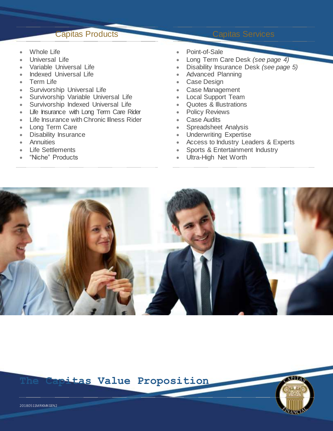### Capitas Products Capitas Services

- Whole Life
- Universal Life
- Variable Universal Life
- Indexed Universal Life
- Term Life
- Survivorship Universal Life
- **Survivorship Variable Universal Life**
- Survivorship Indexed Universal Life
- Life Insurance with Long Term Care Rider
- Life Insurance with Chronic Illness Rider
- Long Term Care
- Disability Insurance
- **Annuities**
- Life Settlements
- "Niche" Products
- Point-of-Sale
- Long Term Care Desk *(see page 4)*
- Disability Insurance Desk *(see page 5)*
- Advanced Planning
- Case Design
- Case Management
- Local Support Team
- Quotes & Illustrations
- Policy Reviews
- Case Audits
- Spreadsheet Analysis
- Underwriting Expertise
- Access to Industry Leaders & Experts
- Sports & Entertainment Industry
- Ultra-High Net Worth